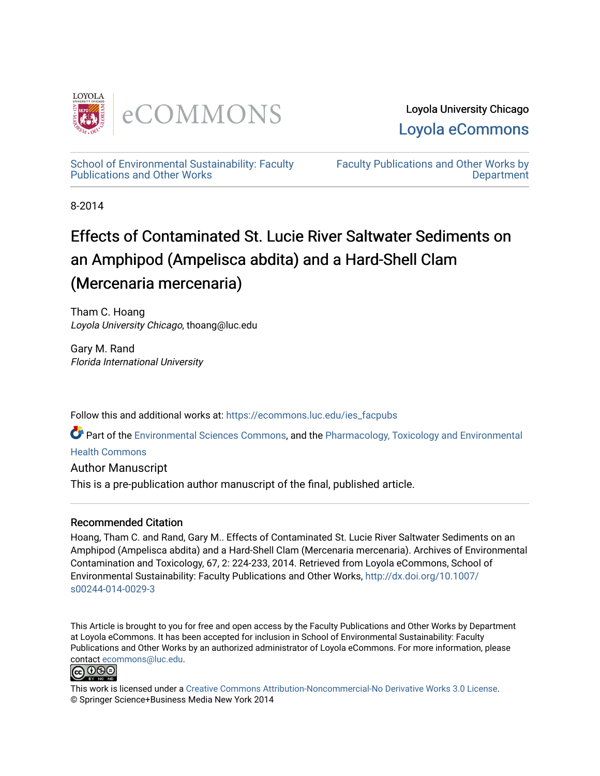

Loyola University Chicago [Loyola eCommons](https://ecommons.luc.edu/) 

[School of Environmental Sustainability: Faculty](https://ecommons.luc.edu/ies_facpubs)  [Publications and Other Works](https://ecommons.luc.edu/ies_facpubs) 

[Faculty Publications and Other Works by](https://ecommons.luc.edu/faculty)  **Department** 

8-2014

# Effects of Contaminated St. Lucie River Saltwater Sediments on an Amphipod (Ampelisca abdita) and a Hard-Shell Clam (Mercenaria mercenaria)

Tham C. Hoang Loyola University Chicago, thoang@luc.edu

Gary M. Rand Florida International University

Follow this and additional works at: [https://ecommons.luc.edu/ies\\_facpubs](https://ecommons.luc.edu/ies_facpubs?utm_source=ecommons.luc.edu%2Fies_facpubs%2F28&utm_medium=PDF&utm_campaign=PDFCoverPages) 

Part of the [Environmental Sciences Commons](http://network.bepress.com/hgg/discipline/167?utm_source=ecommons.luc.edu%2Fies_facpubs%2F28&utm_medium=PDF&utm_campaign=PDFCoverPages), and the [Pharmacology, Toxicology and Environmental](http://network.bepress.com/hgg/discipline/63?utm_source=ecommons.luc.edu%2Fies_facpubs%2F28&utm_medium=PDF&utm_campaign=PDFCoverPages)

[Health Commons](http://network.bepress.com/hgg/discipline/63?utm_source=ecommons.luc.edu%2Fies_facpubs%2F28&utm_medium=PDF&utm_campaign=PDFCoverPages) 

Author Manuscript This is a pre-publication author manuscript of the final, published article.

## Recommended Citation

Hoang, Tham C. and Rand, Gary M.. Effects of Contaminated St. Lucie River Saltwater Sediments on an Amphipod (Ampelisca abdita) and a Hard-Shell Clam (Mercenaria mercenaria). Archives of Environmental Contamination and Toxicology, 67, 2: 224-233, 2014. Retrieved from Loyola eCommons, School of Environmental Sustainability: Faculty Publications and Other Works, [http://dx.doi.org/10.1007/](http://dx.doi.org/10.1007/s00244-014-0029-3) [s00244-014-0029-3](http://dx.doi.org/10.1007/s00244-014-0029-3)

This Article is brought to you for free and open access by the Faculty Publications and Other Works by Department at Loyola eCommons. It has been accepted for inclusion in School of Environmental Sustainability: Faculty Publications and Other Works by an authorized administrator of Loyola eCommons. For more information, please contact [ecommons@luc.edu.](mailto:ecommons@luc.edu)



This work is licensed under a [Creative Commons Attribution-Noncommercial-No Derivative Works 3.0 License.](https://creativecommons.org/licenses/by-nc-nd/3.0/) © Springer Science+Business Media New York 2014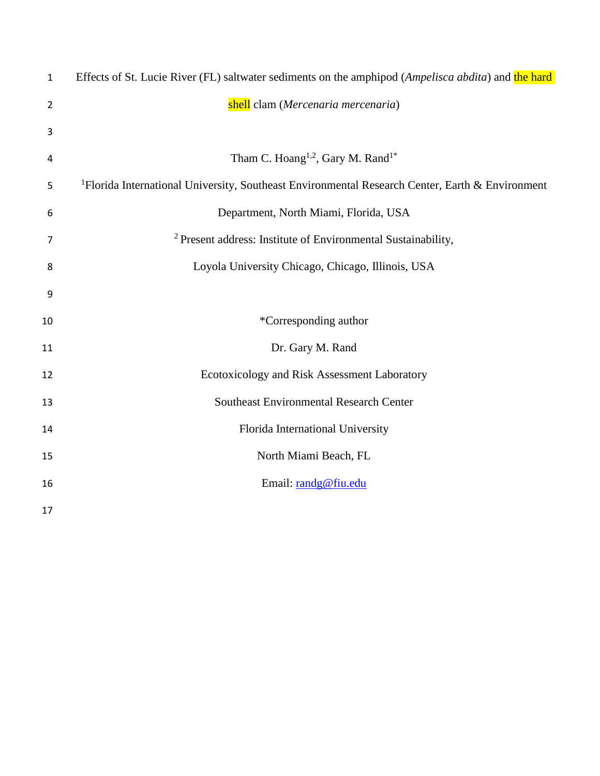| $\mathbf{1}$   | Effects of St. Lucie River (FL) saltwater sediments on the amphipod (Ampelisca abdita) and the hard         |
|----------------|-------------------------------------------------------------------------------------------------------------|
| $\overline{2}$ | shell clam (Mercenaria mercenaria)                                                                          |
| 3              |                                                                                                             |
| 4              | Tham C. Hoang <sup>1,2</sup> , Gary M. Rand <sup>1*</sup>                                                   |
| 5              | <sup>1</sup> Florida International University, Southeast Environmental Research Center, Earth & Environment |
| 6              | Department, North Miami, Florida, USA                                                                       |
| 7              | <sup>2</sup> Present address: Institute of Environmental Sustainability,                                    |
| 8              | Loyola University Chicago, Chicago, Illinois, USA                                                           |
| 9              |                                                                                                             |
| 10             | *Corresponding author                                                                                       |
| 11             | Dr. Gary M. Rand                                                                                            |
| 12             | Ecotoxicology and Risk Assessment Laboratory                                                                |
| 13             | <b>Southeast Environmental Research Center</b>                                                              |
| 14             | Florida International University                                                                            |
| 15             | North Miami Beach, FL                                                                                       |
| 16             | Email: randg@fiu.edu                                                                                        |
| 17             |                                                                                                             |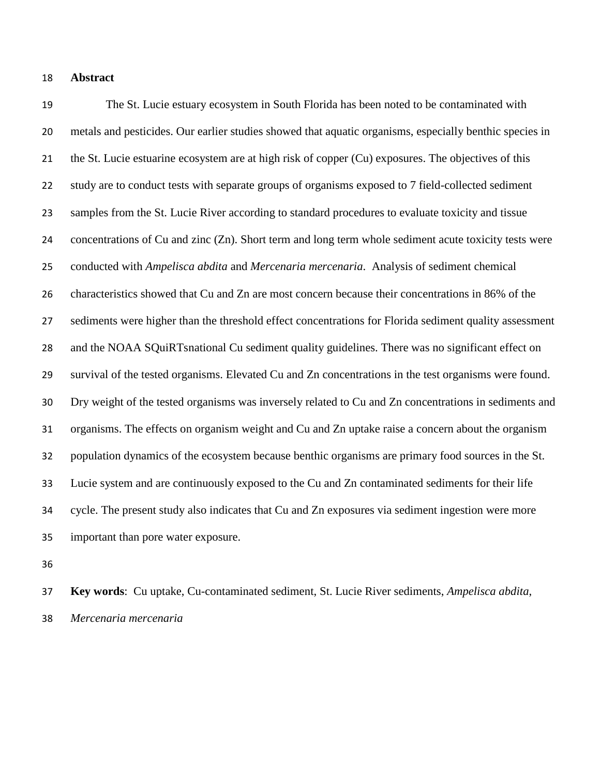#### **Abstract**

 The St. Lucie estuary ecosystem in South Florida has been noted to be contaminated with metals and pesticides. Our earlier studies showed that aquatic organisms, especially benthic species in the St. Lucie estuarine ecosystem are at high risk of copper (Cu) exposures. The objectives of this study are to conduct tests with separate groups of organisms exposed to 7 field-collected sediment samples from the St. Lucie River according to standard procedures to evaluate toxicity and tissue concentrations of Cu and zinc (Zn). Short term and long term whole sediment acute toxicity tests were conducted with *Ampelisca abdita* and *Mercenaria mercenaria*. Analysis of sediment chemical characteristics showed that Cu and Zn are most concern because their concentrations in 86% of the sediments were higher than the threshold effect concentrations for Florida sediment quality assessment and the NOAA SQuiRTsnational Cu sediment quality guidelines. There was no significant effect on survival of the tested organisms. Elevated Cu and Zn concentrations in the test organisms were found. Dry weight of the tested organisms was inversely related to Cu and Zn concentrations in sediments and organisms. The effects on organism weight and Cu and Zn uptake raise a concern about the organism population dynamics of the ecosystem because benthic organisms are primary food sources in the St. Lucie system and are continuously exposed to the Cu and Zn contaminated sediments for their life cycle. The present study also indicates that Cu and Zn exposures via sediment ingestion were more important than pore water exposure.

 **Key words**: Cu uptake, Cu-contaminated sediment, St. Lucie River sediments, *Ampelisca abdita*, *Mercenaria mercenaria*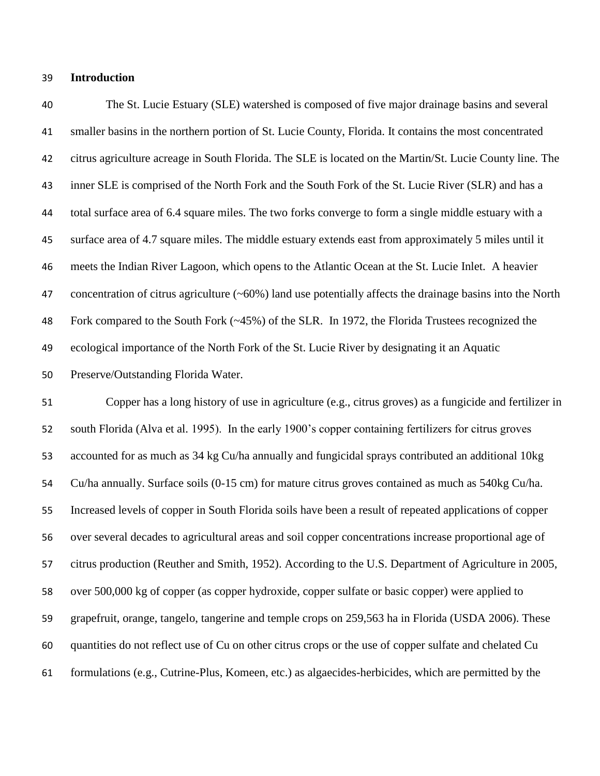#### **Introduction**

 The St. Lucie Estuary (SLE) watershed is composed of five major drainage basins and several smaller basins in the northern portion of St. Lucie County, Florida. It contains the most concentrated citrus agriculture acreage in South Florida. The SLE is located on the Martin/St. Lucie County line. The inner SLE is comprised of the North Fork and the South Fork of the St. Lucie River (SLR) and has a total surface area of 6.4 square miles. The two forks converge to form a single middle estuary with a surface area of 4.7 square miles. The middle estuary extends east from approximately 5 miles until it meets the Indian River Lagoon, which opens to the Atlantic Ocean at the St. Lucie Inlet. A heavier concentration of citrus agriculture (~60%) land use potentially affects the drainage basins into the North Fork compared to the South Fork (~45%) of the SLR. In 1972, the Florida Trustees recognized the ecological importance of the North Fork of the St. Lucie River by designating it an Aquatic Preserve/Outstanding Florida Water.

 Copper has a long history of use in agriculture (e.g., citrus groves) as a fungicide and fertilizer in south Florida (Alva et al. 1995). In the early 1900's copper containing fertilizers for citrus groves accounted for as much as 34 kg Cu/ha annually and fungicidal sprays contributed an additional 10kg Cu/ha annually. Surface soils (0-15 cm) for mature citrus groves contained as much as 540kg Cu/ha. Increased levels of copper in South Florida soils have been a result of repeated applications of copper over several decades to agricultural areas and soil copper concentrations increase proportional age of citrus production (Reuther and Smith, 1952). According to the U.S. Department of Agriculture in 2005, over 500,000 kg of copper (as copper hydroxide, copper sulfate or basic copper) were applied to grapefruit, orange, tangelo, tangerine and temple crops on 259,563 ha in Florida (USDA 2006). These quantities do not reflect use of Cu on other citrus crops or the use of copper sulfate and chelated Cu formulations (e.g., Cutrine-Plus, Komeen, etc.) as algaecides-herbicides, which are permitted by the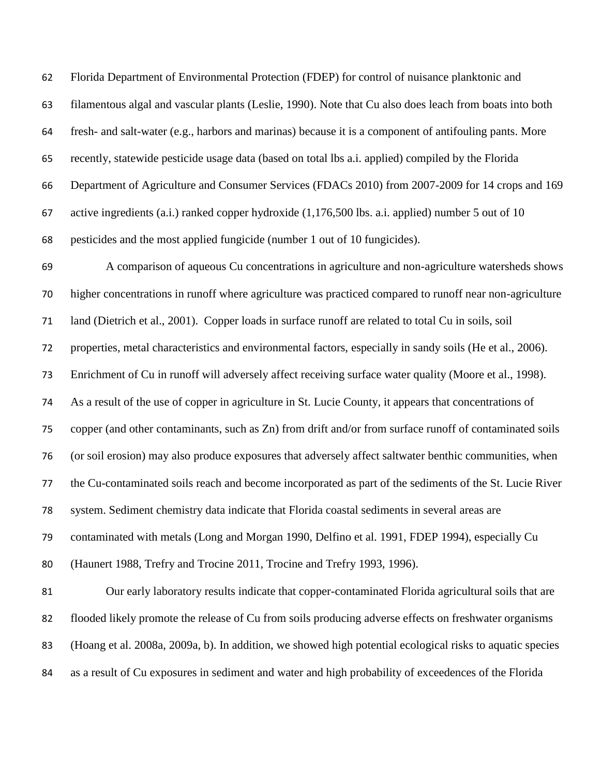Florida Department of Environmental Protection (FDEP) for control of nuisance planktonic and filamentous algal and vascular plants (Leslie, 1990). Note that Cu also does leach from boats into both fresh- and salt-water (e.g., harbors and marinas) because it is a component of antifouling pants. More recently, statewide pesticide usage data (based on total lbs a.i. applied) compiled by the Florida Department of Agriculture and Consumer Services (FDACs 2010) from 2007-2009 for 14 crops and 169 active ingredients (a.i.) ranked copper hydroxide (1,176,500 lbs. a.i. applied) number 5 out of 10 pesticides and the most applied fungicide (number 1 out of 10 fungicides). A comparison of aqueous Cu concentrations in agriculture and non-agriculture watersheds shows higher concentrations in runoff where agriculture was practiced compared to runoff near non-agriculture land (Dietrich et al., 2001). Copper loads in surface runoff are related to total Cu in soils, soil properties, metal characteristics and environmental factors, especially in sandy soils (He et al., 2006). Enrichment of Cu in runoff will adversely affect receiving surface water quality (Moore et al., 1998). As a result of the use of copper in agriculture in St. Lucie County, it appears that concentrations of copper (and other contaminants, such as Zn) from drift and/or from surface runoff of contaminated soils (or soil erosion) may also produce exposures that adversely affect saltwater benthic communities, when the Cu-contaminated soils reach and become incorporated as part of the sediments of the St. Lucie River system. Sediment chemistry data indicate that Florida coastal sediments in several areas are contaminated with metals (Long and Morgan 1990, Delfino et al. 1991, FDEP 1994), especially Cu (Haunert 1988, Trefry and Trocine 2011, Trocine and Trefry 1993, 1996). Our early laboratory results indicate that copper-contaminated Florida agricultural soils that are flooded likely promote the release of Cu from soils producing adverse effects on freshwater organisms (Hoang et al. 2008a, 2009a, b). In addition, we showed high potential ecological risks to aquatic species as a result of Cu exposures in sediment and water and high probability of exceedences of the Florida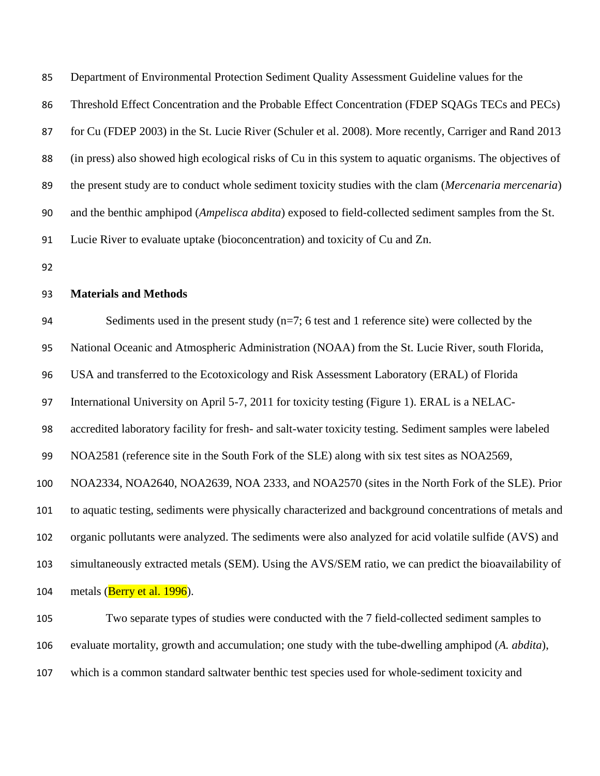Department of Environmental Protection Sediment Quality Assessment Guideline values for the

Threshold Effect Concentration and the Probable Effect Concentration (FDEP SQAGs TECs and PECs)

for Cu (FDEP 2003) in the St. Lucie River (Schuler et al. 2008). More recently, Carriger and Rand 2013

(in press) also showed high ecological risks of Cu in this system to aquatic organisms. The objectives of

the present study are to conduct whole sediment toxicity studies with the clam (*Mercenaria mercenaria*)

and the benthic amphipod (*Ampelisca abdita*) exposed to field-collected sediment samples from the St.

Lucie River to evaluate uptake (bioconcentration) and toxicity of Cu and Zn.

## **Materials and Methods**

94 Sediments used in the present study  $(n=7; 6 \text{ test and } 1 \text{ reference site})$  were collected by the

National Oceanic and Atmospheric Administration (NOAA) from the St. Lucie River, south Florida,

USA and transferred to the Ecotoxicology and Risk Assessment Laboratory (ERAL) of Florida

International University on April 5-7, 2011 for toxicity testing (Figure 1). ERAL is a NELAC-

accredited laboratory facility for fresh- and salt-water toxicity testing. Sediment samples were labeled

NOA2581 (reference site in the South Fork of the SLE) along with six test sites as NOA2569,

NOA2334, NOA2640, NOA2639, NOA 2333, and NOA2570 (sites in the North Fork of the SLE). Prior

to aquatic testing, sediments were physically characterized and background concentrations of metals and

organic pollutants were analyzed. The sediments were also analyzed for acid volatile sulfide (AVS) and

simultaneously extracted metals (SEM). Using the AVS/SEM ratio, we can predict the bioavailability of

104 metals ( $\frac{\text{Berry et al. }1996}{\text{Ber al. }1996}$ ).

 Two separate types of studies were conducted with the 7 field-collected sediment samples to evaluate mortality, growth and accumulation; one study with the tube-dwelling amphipod (*A. abdita*), which is a common standard saltwater benthic test species used for whole-sediment toxicity and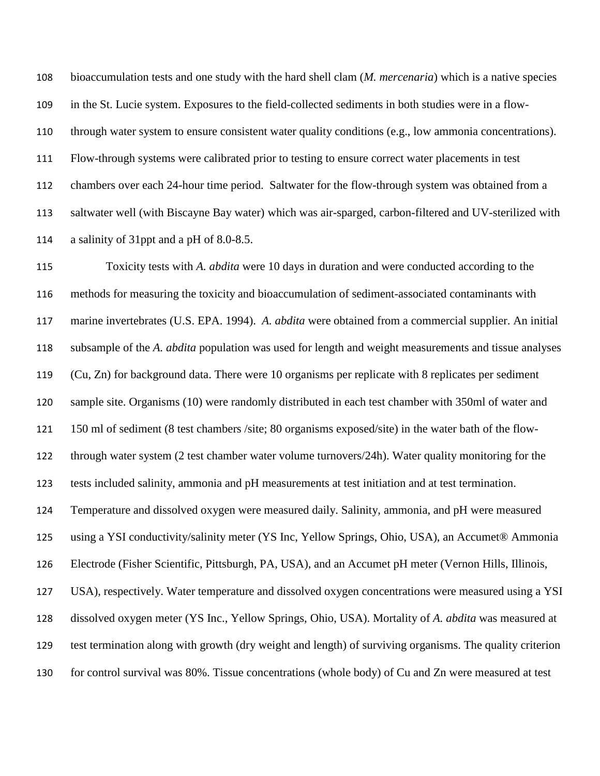bioaccumulation tests and one study with the hard shell clam (*M. mercenaria*) which is a native species in the St. Lucie system. Exposures to the field-collected sediments in both studies were in a flow- through water system to ensure consistent water quality conditions (e.g., low ammonia concentrations). Flow-through systems were calibrated prior to testing to ensure correct water placements in test chambers over each 24-hour time period. Saltwater for the flow-through system was obtained from a saltwater well (with Biscayne Bay water) which was air-sparged, carbon-filtered and UV-sterilized with a salinity of 31ppt and a pH of 8.0-8.5.

 Toxicity tests with *A. abdita* were 10 days in duration and were conducted according to the methods for measuring the toxicity and bioaccumulation of sediment-associated contaminants with marine invertebrates (U.S. EPA. 1994). *A. abdita* were obtained from a commercial supplier. An initial subsample of the *A. abdita* population was used for length and weight measurements and tissue analyses (Cu, Zn) for background data. There were 10 organisms per replicate with 8 replicates per sediment sample site. Organisms (10) were randomly distributed in each test chamber with 350ml of water and 150 ml of sediment (8 test chambers /site; 80 organisms exposed/site) in the water bath of the flow- through water system (2 test chamber water volume turnovers/24h). Water quality monitoring for the tests included salinity, ammonia and pH measurements at test initiation and at test termination. Temperature and dissolved oxygen were measured daily. Salinity, ammonia, and pH were measured using a YSI conductivity/salinity meter (YS Inc, Yellow Springs, Ohio, USA), an Accumet® Ammonia Electrode (Fisher Scientific, Pittsburgh, PA, USA), and an Accumet pH meter (Vernon Hills, Illinois, USA), respectively. Water temperature and dissolved oxygen concentrations were measured using a YSI dissolved oxygen meter (YS Inc., Yellow Springs, Ohio, USA). Mortality of *A. abdita* was measured at test termination along with growth (dry weight and length) of surviving organisms. The quality criterion for control survival was 80%. Tissue concentrations (whole body) of Cu and Zn were measured at test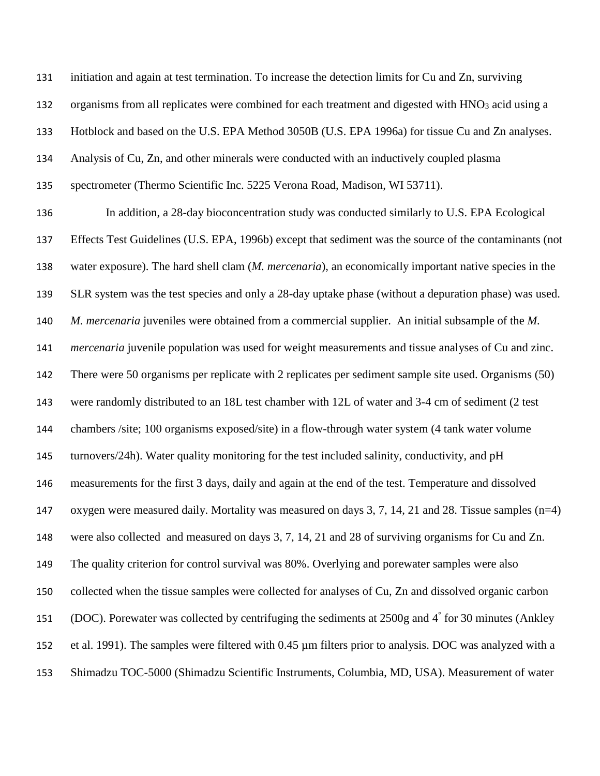initiation and again at test termination. To increase the detection limits for Cu and Zn, surviving

132 organisms from all replicates were combined for each treatment and digested with HNO<sub>3</sub> acid using a

Hotblock and based on the U.S. EPA Method 3050B (U.S. EPA 1996a) for tissue Cu and Zn analyses.

Analysis of Cu, Zn, and other minerals were conducted with an inductively coupled plasma

spectrometer (Thermo Scientific Inc. 5225 Verona Road, Madison, WI 53711).

 In addition, a 28-day bioconcentration study was conducted similarly to U.S. EPA Ecological Effects Test Guidelines (U.S. EPA, 1996b) except that sediment was the source of the contaminants (not water exposure). The hard shell clam (*M. mercenaria*), an economically important native species in the SLR system was the test species and only a 28-day uptake phase (without a depuration phase) was used. *M. mercenaria* juveniles were obtained from a commercial supplier. An initial subsample of the *M. mercenaria* juvenile population was used for weight measurements and tissue analyses of Cu and zinc. There were 50 organisms per replicate with 2 replicates per sediment sample site used. Organisms (50) were randomly distributed to an 18L test chamber with 12L of water and 3-4 cm of sediment (2 test chambers /site; 100 organisms exposed/site) in a flow-through water system (4 tank water volume turnovers/24h). Water quality monitoring for the test included salinity, conductivity, and pH measurements for the first 3 days, daily and again at the end of the test. Temperature and dissolved oxygen were measured daily. Mortality was measured on days 3, 7, 14, 21 and 28. Tissue samples (n=4) were also collected and measured on days 3, 7, 14, 21 and 28 of surviving organisms for Cu and Zn. The quality criterion for control survival was 80%. Overlying and porewater samples were also collected when the tissue samples were collected for analyses of Cu, Zn and dissolved organic carbon 151 (DOC). Porewater was collected by centrifuging the sediments at  $2500g$  and  $4^\circ$  for 30 minutes (Ankley et al. 1991). The samples were filtered with 0.45 µm filters prior to analysis. DOC was analyzed with a Shimadzu TOC-5000 (Shimadzu Scientific Instruments, Columbia, MD, USA). Measurement of water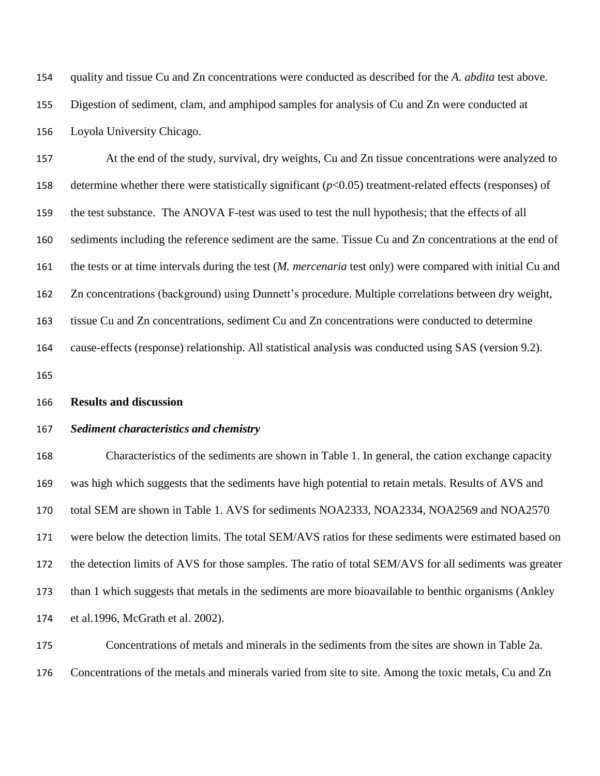quality and tissue Cu and Zn concentrations were conducted as described for the *A. abdita* test above. Digestion of sediment, clam, and amphipod samples for analysis of Cu and Zn were conducted at Loyola University Chicago.

 At the end of the study, survival, dry weights, Cu and Zn tissue concentrations were analyzed to determine whether there were statistically significant (*p*<0.05) treatment-related effects (responses) of the test substance. The ANOVA F-test was used to test the null hypothesis; that the effects of all sediments including the reference sediment are the same. Tissue Cu and Zn concentrations at the end of the tests or at time intervals during the test (*M. mercenaria* test only) were compared with initial Cu and Zn concentrations (background) using Dunnett's procedure. Multiple correlations between dry weight, tissue Cu and Zn concentrations, sediment Cu and Zn concentrations were conducted to determine cause-effects (response) relationship. All statistical analysis was conducted using SAS (version 9.2).

#### **Results and discussion**

#### *Sediment characteristics and chemistry*

 Characteristics of the sediments are shown in Table 1. In general, the cation exchange capacity was high which suggests that the sediments have high potential to retain metals. Results of AVS and total SEM are shown in Table 1. AVS for sediments NOA2333, NOA2334, NOA2569 and NOA2570 were below the detection limits. The total SEM/AVS ratios for these sediments were estimated based on the detection limits of AVS for those samples. The ratio of total SEM/AVS for all sediments was greater than 1 which suggests that metals in the sediments are more bioavailable to benthic organisms (Ankley et al.1996, McGrath et al. 2002).

 Concentrations of metals and minerals in the sediments from the sites are shown in Table 2a. Concentrations of the metals and minerals varied from site to site. Among the toxic metals, Cu and Zn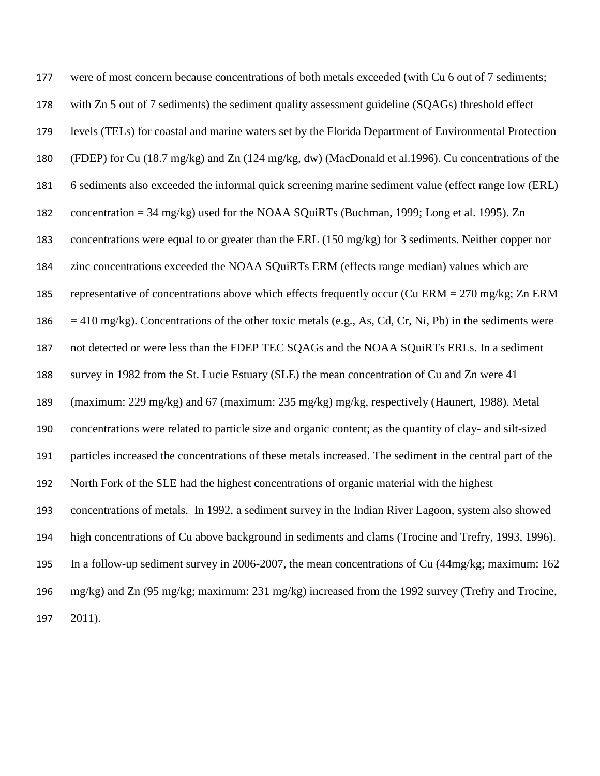| 177 | were of most concern because concentrations of both metals exceeded (with Cu 6 out of 7 sediments;           |
|-----|--------------------------------------------------------------------------------------------------------------|
| 178 | with Zn 5 out of 7 sediments) the sediment quality assessment guideline (SQAGs) threshold effect             |
| 179 | levels (TELs) for coastal and marine waters set by the Florida Department of Environmental Protection        |
| 180 | (FDEP) for Cu (18.7 mg/kg) and Zn (124 mg/kg, dw) (MacDonald et al.1996). Cu concentrations of the           |
| 181 | 6 sediments also exceeded the informal quick screening marine sediment value (effect range low (ERL)         |
| 182 | concentration = $34 \text{ mg/kg}$ ) used for the NOAA SQuiRTs (Buchman, 1999; Long et al. 1995). Zn         |
| 183 | concentrations were equal to or greater than the ERL (150 mg/kg) for 3 sediments. Neither copper nor         |
| 184 | zinc concentrations exceeded the NOAA SQuiRTs ERM (effects range median) values which are                    |
| 185 | representative of concentrations above which effects frequently occur (Cu ERM = $270 \text{ mg/kg}$ ; Zn ERM |
| 186 | $=$ 410 mg/kg). Concentrations of the other toxic metals (e.g., As, Cd, Cr, Ni, Pb) in the sediments were    |
| 187 | not detected or were less than the FDEP TEC SQAGs and the NOAA SQuiRTs ERLs. In a sediment                   |
| 188 | survey in 1982 from the St. Lucie Estuary (SLE) the mean concentration of Cu and Zn were 41                  |
| 189 | (maximum: 229 mg/kg) and 67 (maximum: 235 mg/kg) mg/kg, respectively (Haunert, 1988). Metal                  |
| 190 | concentrations were related to particle size and organic content; as the quantity of clay- and silt-sized    |
| 191 | particles increased the concentrations of these metals increased. The sediment in the central part of the    |
| 192 | North Fork of the SLE had the highest concentrations of organic material with the highest                    |
| 193 | concentrations of metals. In 1992, a sediment survey in the Indian River Lagoon, system also showed          |
| 194 | high concentrations of Cu above background in sediments and clams (Trocine and Trefry, 1993, 1996).          |
| 195 | In a follow-up sediment survey in 2006-2007, the mean concentrations of Cu (44mg/kg; maximum: 162            |
| 196 | mg/kg) and Zn (95 mg/kg; maximum: 231 mg/kg) increased from the 1992 survey (Trefry and Trocine,             |
| 197 | 2011).                                                                                                       |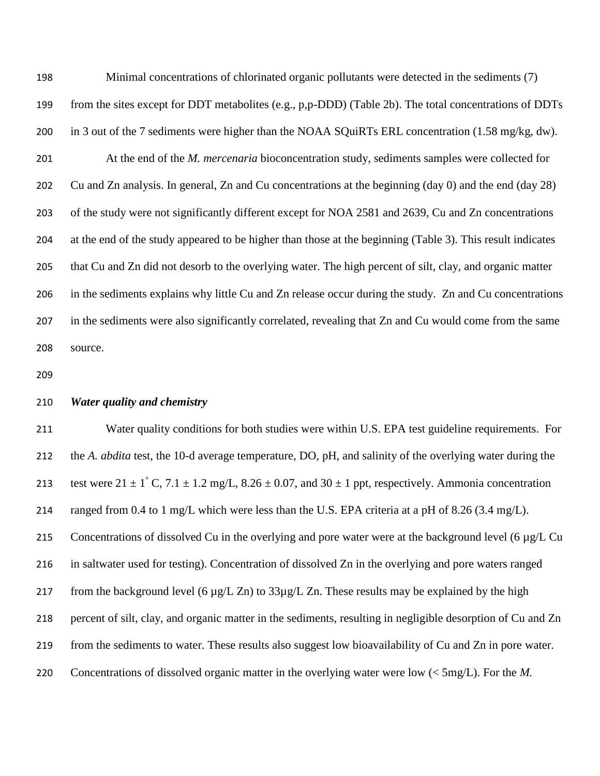Minimal concentrations of chlorinated organic pollutants were detected in the sediments (7) from the sites except for DDT metabolites (e.g., p,p-DDD) (Table 2b). The total concentrations of DDTs in 3 out of the 7 sediments were higher than the NOAA SQuiRTs ERL concentration (1.58 mg/kg, dw). At the end of the *M. mercenaria* bioconcentration study, sediments samples were collected for Cu and Zn analysis. In general, Zn and Cu concentrations at the beginning (day 0) and the end (day 28) of the study were not significantly different except for NOA 2581 and 2639, Cu and Zn concentrations at the end of the study appeared to be higher than those at the beginning (Table 3). This result indicates that Cu and Zn did not desorb to the overlying water. The high percent of silt, clay, and organic matter in the sediments explains why little Cu and Zn release occur during the study. Zn and Cu concentrations in the sediments were also significantly correlated, revealing that Zn and Cu would come from the same source.

## *Water quality and chemistry*

 Water quality conditions for both studies were within U.S. EPA test guideline requirements. For the *A. abdita* test, the 10-d average temperature, DO, pH, and salinity of the overlying water during the 213 test were  $21 \pm 1^\circ$  C,  $7.1 \pm 1.2$  mg/L,  $8.26 \pm 0.07$ , and  $30 \pm 1$  ppt, respectively. Ammonia concentration 214 ranged from 0.4 to 1 mg/L which were less than the U.S. EPA criteria at a pH of 8.26 (3.4 mg/L). 215 Concentrations of dissolved Cu in the overlying and pore water were at the background level (6 µg/L Cu in saltwater used for testing). Concentration of dissolved Zn in the overlying and pore waters ranged 217 from the background level (6  $\mu$ g/L Zn) to 33 $\mu$ g/L Zn. These results may be explained by the high percent of silt, clay, and organic matter in the sediments, resulting in negligible desorption of Cu and Zn from the sediments to water. These results also suggest low bioavailability of Cu and Zn in pore water. Concentrations of dissolved organic matter in the overlying water were low (< 5mg/L). For the *M.*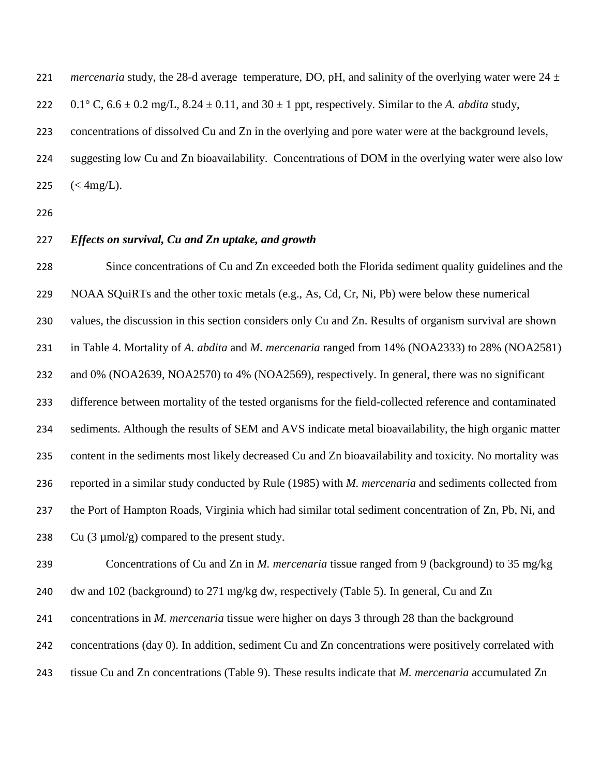*mercenaria* study, the 28-d average temperature, DO, pH, and salinity of the overlying water were 24  $\pm$ 222 0.1° C,  $6.6 \pm 0.2$  mg/L,  $8.24 \pm 0.11$ , and  $30 \pm 1$  ppt, respectively. Similar to the *A. abdita* study, concentrations of dissolved Cu and Zn in the overlying and pore water were at the background levels, suggesting low Cu and Zn bioavailability. Concentrations of DOM in the overlying water were also low  $(<\rm 4mg/L)$ .

# *Effects on survival, Cu and Zn uptake, and growth*

 Since concentrations of Cu and Zn exceeded both the Florida sediment quality guidelines and the NOAA SQuiRTs and the other toxic metals (e.g., As, Cd, Cr, Ni, Pb) were below these numerical values, the discussion in this section considers only Cu and Zn. Results of organism survival are shown in Table 4. Mortality of *A. abdita* and *M. mercenaria* ranged from 14% (NOA2333) to 28% (NOA2581) and 0% (NOA2639, NOA2570) to 4% (NOA2569), respectively. In general, there was no significant difference between mortality of the tested organisms for the field-collected reference and contaminated sediments. Although the results of SEM and AVS indicate metal bioavailability, the high organic matter content in the sediments most likely decreased Cu and Zn bioavailability and toxicity. No mortality was reported in a similar study conducted by Rule (1985) with *M. mercenaria* and sediments collected from the Port of Hampton Roads, Virginia which had similar total sediment concentration of Zn, Pb, Ni, and 238 Cu  $(3 \mu \text{mol/g})$  compared to the present study.

Concentrations of Cu and Zn in *M. mercenaria* tissue ranged from 9 (background) to 35 mg/kg

dw and 102 (background) to 271 mg/kg dw, respectively (Table 5). In general, Cu and Zn

concentrations in *M. mercenaria* tissue were higher on days 3 through 28 than the background

concentrations (day 0). In addition, sediment Cu and Zn concentrations were positively correlated with

tissue Cu and Zn concentrations (Table 9). These results indicate that *M. mercenaria* accumulated Zn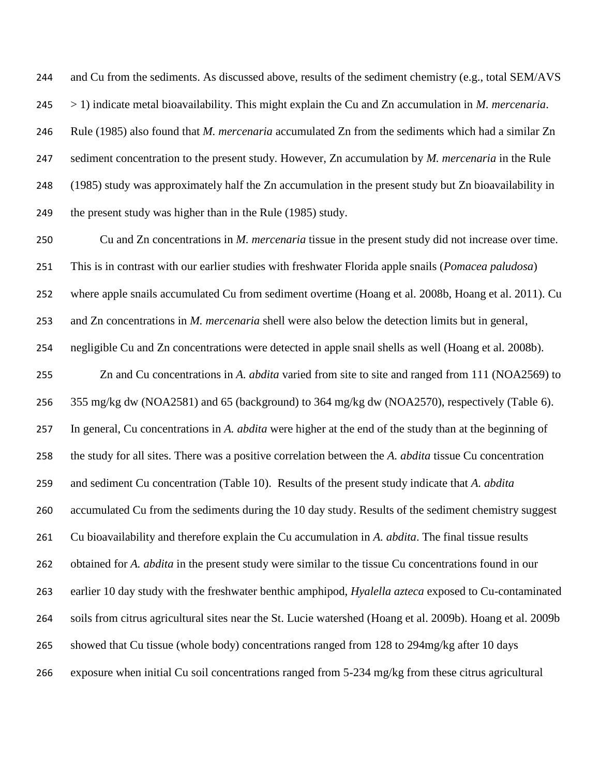and Cu from the sediments. As discussed above, results of the sediment chemistry (e.g., total SEM/AVS > 1) indicate metal bioavailability. This might explain the Cu and Zn accumulation in *M. mercenaria*. Rule (1985) also found that *M. mercenaria* accumulated Zn from the sediments which had a similar Zn sediment concentration to the present study. However, Zn accumulation by *M. mercenaria* in the Rule (1985) study was approximately half the Zn accumulation in the present study but Zn bioavailability in 249 the present study was higher than in the Rule (1985) study.

 Cu and Zn concentrations in *M. mercenaria* tissue in the present study did not increase over time. This is in contrast with our earlier studies with freshwater Florida apple snails (*Pomacea paludosa*) where apple snails accumulated Cu from sediment overtime (Hoang et al. 2008b, Hoang et al. 2011). Cu and Zn concentrations in *M. mercenaria* shell were also below the detection limits but in general, negligible Cu and Zn concentrations were detected in apple snail shells as well (Hoang et al. 2008b). Zn and Cu concentrations in *A. abdita* varied from site to site and ranged from 111 (NOA2569) to 355 mg/kg dw (NOA2581) and 65 (background) to 364 mg/kg dw (NOA2570), respectively (Table 6). In general, Cu concentrations in *A. abdita* were higher at the end of the study than at the beginning of the study for all sites. There was a positive correlation between the *A. abdita* tissue Cu concentration and sediment Cu concentration (Table 10). Results of the present study indicate that *A. abdita* accumulated Cu from the sediments during the 10 day study. Results of the sediment chemistry suggest Cu bioavailability and therefore explain the Cu accumulation in *A. abdita*. The final tissue results obtained for *A. abdita* in the present study were similar to the tissue Cu concentrations found in our earlier 10 day study with the freshwater benthic amphipod, *Hyalella azteca* exposed to Cu-contaminated soils from citrus agricultural sites near the St. Lucie watershed (Hoang et al. 2009b). Hoang et al. 2009b showed that Cu tissue (whole body) concentrations ranged from 128 to 294mg/kg after 10 days exposure when initial Cu soil concentrations ranged from 5-234 mg/kg from these citrus agricultural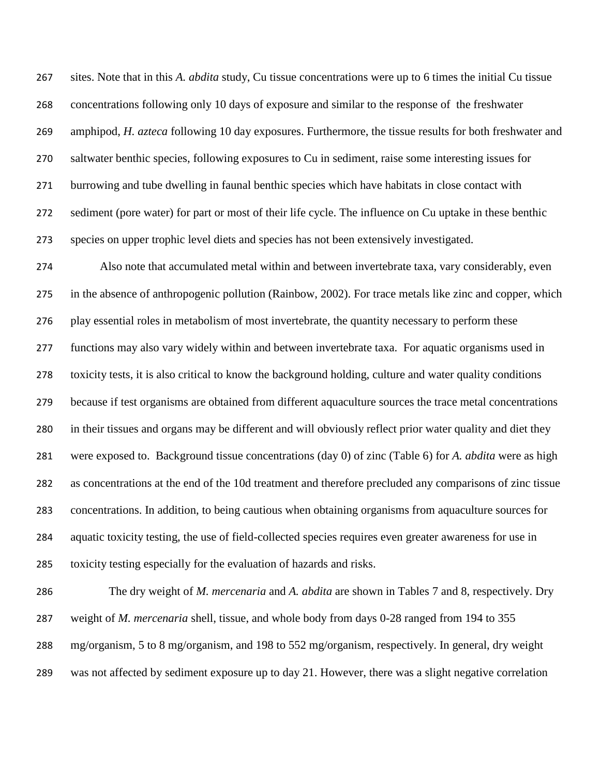sites. Note that in this *A. abdita* study, Cu tissue concentrations were up to 6 times the initial Cu tissue concentrations following only 10 days of exposure and similar to the response of the freshwater amphipod, *H. azteca* following 10 day exposures. Furthermore, the tissue results for both freshwater and saltwater benthic species, following exposures to Cu in sediment, raise some interesting issues for burrowing and tube dwelling in faunal benthic species which have habitats in close contact with sediment (pore water) for part or most of their life cycle. The influence on Cu uptake in these benthic species on upper trophic level diets and species has not been extensively investigated.

 Also note that accumulated metal within and between invertebrate taxa, vary considerably, even in the absence of anthropogenic pollution (Rainbow, 2002). For trace metals like zinc and copper, which play essential roles in metabolism of most invertebrate, the quantity necessary to perform these functions may also vary widely within and between invertebrate taxa. For aquatic organisms used in toxicity tests, it is also critical to know the background holding, culture and water quality conditions because if test organisms are obtained from different aquaculture sources the trace metal concentrations in their tissues and organs may be different and will obviously reflect prior water quality and diet they were exposed to. Background tissue concentrations (day 0) of zinc (Table 6) for *A. abdita* were as high as concentrations at the end of the 10d treatment and therefore precluded any comparisons of zinc tissue concentrations. In addition, to being cautious when obtaining organisms from aquaculture sources for aquatic toxicity testing, the use of field-collected species requires even greater awareness for use in toxicity testing especially for the evaluation of hazards and risks.

 The dry weight of *M. mercenaria* and *A. abdita* are shown in Tables 7 and 8, respectively. Dry weight of *M. mercenaria* shell, tissue, and whole body from days 0-28 ranged from 194 to 355 mg/organism, 5 to 8 mg/organism, and 198 to 552 mg/organism, respectively. In general, dry weight was not affected by sediment exposure up to day 21. However, there was a slight negative correlation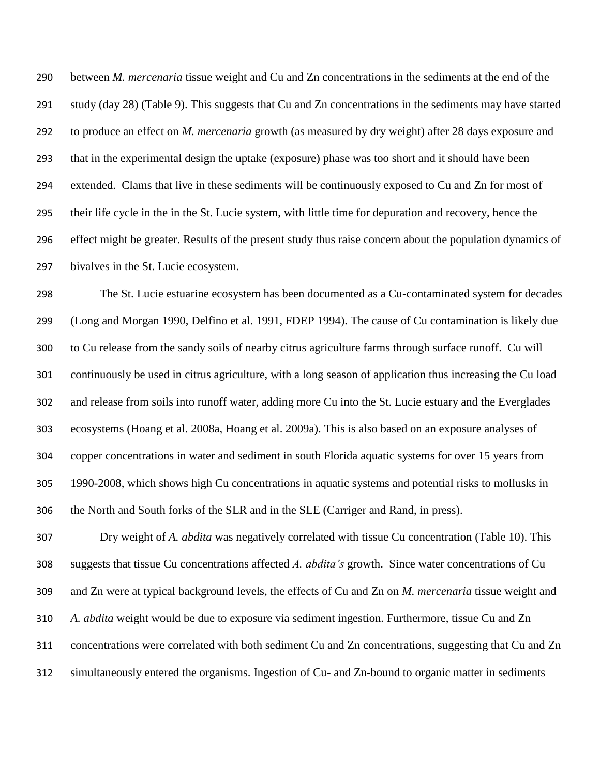between *M. mercenaria* tissue weight and Cu and Zn concentrations in the sediments at the end of the study (day 28) (Table 9). This suggests that Cu and Zn concentrations in the sediments may have started to produce an effect on *M. mercenaria* growth (as measured by dry weight) after 28 days exposure and that in the experimental design the uptake (exposure) phase was too short and it should have been extended. Clams that live in these sediments will be continuously exposed to Cu and Zn for most of their life cycle in the in the St. Lucie system, with little time for depuration and recovery, hence the effect might be greater. Results of the present study thus raise concern about the population dynamics of bivalves in the St. Lucie ecosystem.

 The St. Lucie estuarine ecosystem has been documented as a Cu-contaminated system for decades (Long and Morgan 1990, Delfino et al. 1991, FDEP 1994). The cause of Cu contamination is likely due to Cu release from the sandy soils of nearby citrus agriculture farms through surface runoff. Cu will continuously be used in citrus agriculture, with a long season of application thus increasing the Cu load and release from soils into runoff water, adding more Cu into the St. Lucie estuary and the Everglades ecosystems (Hoang et al. 2008a, Hoang et al. 2009a). This is also based on an exposure analyses of copper concentrations in water and sediment in south Florida aquatic systems for over 15 years from 1990-2008, which shows high Cu concentrations in aquatic systems and potential risks to mollusks in the North and South forks of the SLR and in the SLE (Carriger and Rand, in press).

 Dry weight of *A. abdita* was negatively correlated with tissue Cu concentration (Table 10). This suggests that tissue Cu concentrations affected *A. abdita's* growth. Since water concentrations of Cu and Zn were at typical background levels, the effects of Cu and Zn on *M. mercenaria* tissue weight and *A. abdita* weight would be due to exposure via sediment ingestion. Furthermore, tissue Cu and Zn concentrations were correlated with both sediment Cu and Zn concentrations, suggesting that Cu and Zn simultaneously entered the organisms. Ingestion of Cu- and Zn-bound to organic matter in sediments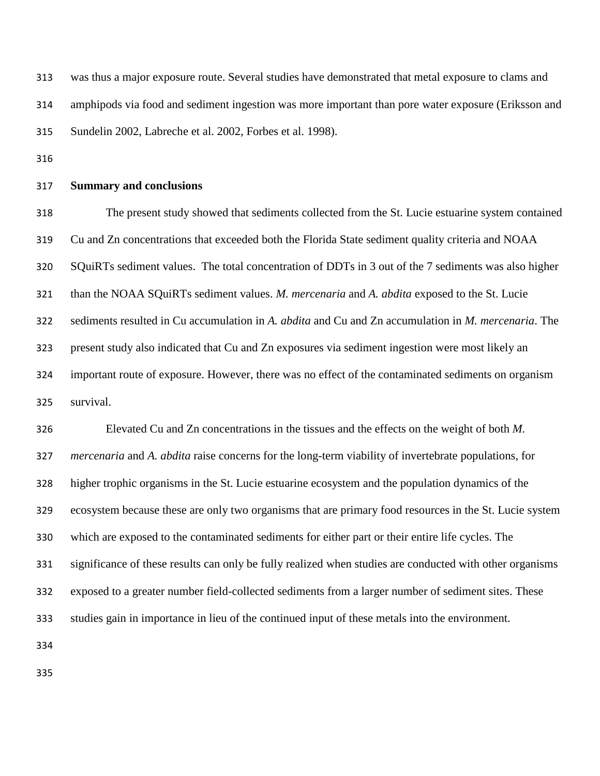was thus a major exposure route. Several studies have demonstrated that metal exposure to clams and amphipods via food and sediment ingestion was more important than pore water exposure (Eriksson and Sundelin 2002, Labreche et al. 2002, Forbes et al. 1998).

#### **Summary and conclusions**

 The present study showed that sediments collected from the St. Lucie estuarine system contained Cu and Zn concentrations that exceeded both the Florida State sediment quality criteria and NOAA SQuiRTs sediment values. The total concentration of DDTs in 3 out of the 7 sediments was also higher than the NOAA SQuiRTs sediment values. *M. mercenaria* and *A. abdita* exposed to the St. Lucie sediments resulted in Cu accumulation in *A. abdita* and Cu and Zn accumulation in *M. mercenaria*. The present study also indicated that Cu and Zn exposures via sediment ingestion were most likely an important route of exposure. However, there was no effect of the contaminated sediments on organism survival.

 Elevated Cu and Zn concentrations in the tissues and the effects on the weight of both *M. mercenaria* and *A. abdita* raise concerns for the long-term viability of invertebrate populations, for higher trophic organisms in the St. Lucie estuarine ecosystem and the population dynamics of the ecosystem because these are only two organisms that are primary food resources in the St. Lucie system which are exposed to the contaminated sediments for either part or their entire life cycles. The significance of these results can only be fully realized when studies are conducted with other organisms exposed to a greater number field-collected sediments from a larger number of sediment sites. These studies gain in importance in lieu of the continued input of these metals into the environment.

- 
-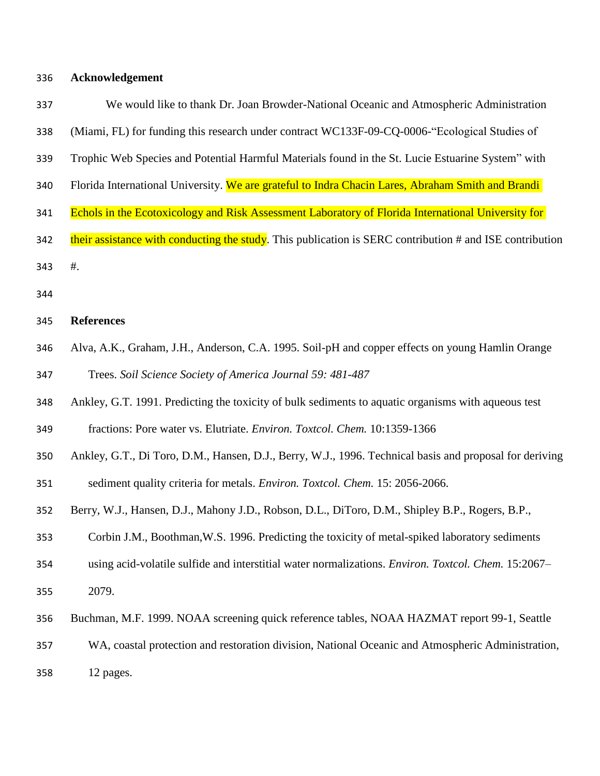**Acknowledgement** 

| 337 | We would like to thank Dr. Joan Browder-National Oceanic and Atmospheric Administration                  |
|-----|----------------------------------------------------------------------------------------------------------|
| 338 | (Miami, FL) for funding this research under contract WC133F-09-CQ-0006-"Ecological Studies of            |
| 339 | Trophic Web Species and Potential Harmful Materials found in the St. Lucie Estuarine System" with        |
| 340 | Florida International University. We are grateful to Indra Chacin Lares, Abraham Smith and Brandi        |
| 341 | Echols in the Ecotoxicology and Risk Assessment Laboratory of Florida International University for       |
| 342 | their assistance with conducting the study. This publication is SERC contribution # and ISE contribution |
| 343 | $#$ .                                                                                                    |
| 344 |                                                                                                          |
| 345 | <b>References</b>                                                                                        |
| 346 | Alva, A.K., Graham, J.H., Anderson, C.A. 1995. Soil-pH and copper effects on young Hamlin Orange         |
| 347 | Trees. Soil Science Society of America Journal 59: 481-487                                               |
| 348 | Ankley, G.T. 1991. Predicting the toxicity of bulk sediments to aquatic organisms with aqueous test      |
| 349 | fractions: Pore water vs. Elutriate. Environ. Toxtcol. Chem. 10:1359-1366                                |
| 350 | Ankley, G.T., Di Toro, D.M., Hansen, D.J., Berry, W.J., 1996. Technical basis and proposal for deriving  |
| 351 | sediment quality criteria for metals. Environ. Toxtcol. Chem. 15: 2056-2066.                             |
| 352 | Berry, W.J., Hansen, D.J., Mahony J.D., Robson, D.L., DiToro, D.M., Shipley B.P., Rogers, B.P.,          |
| 353 | Corbin J.M., Boothman, W.S. 1996. Predicting the toxicity of metal-spiked laboratory sediments           |
| 354 | using acid-volatile sulfide and interstitial water normalizations. Environ. Toxtcol. Chem. 15:2067-      |

- 2079.
- Buchman, M.F. 1999. NOAA screening quick reference tables, NOAA HAZMAT report 99-1, Seattle

WA, coastal protection and restoration division, National Oceanic and Atmospheric Administration,

12 pages.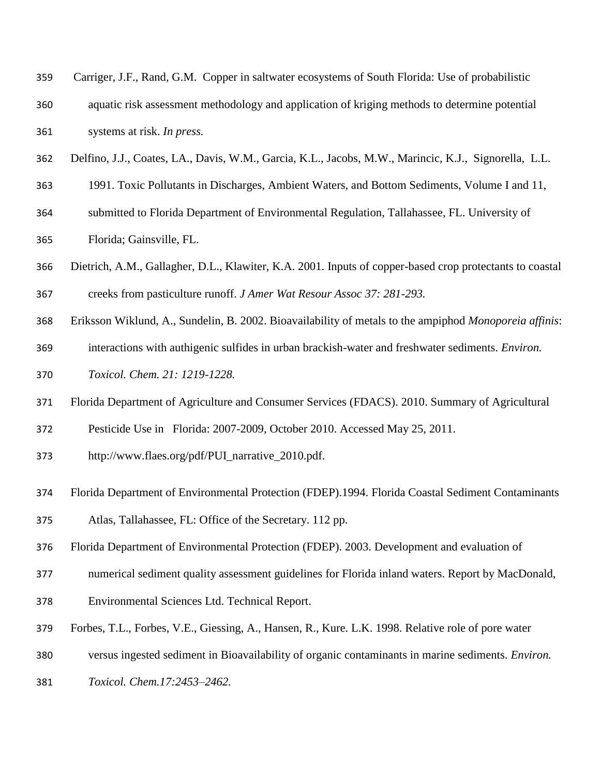| 359 | Carriger, J.F., Rand, G.M. Copper in saltwater ecosystems of South Florida: Use of probabilistic |
|-----|--------------------------------------------------------------------------------------------------|
| 360 | aquatic risk assessment methodology and application of kriging methods to determine potential    |
| 361 | systems at risk. In press.                                                                       |

- Delfino, J.J., Coates, LA., Davis, W.M., Garcia, K.L., Jacobs, M.W., Marincic, K.J., Signorella, L.L.
- 1991. Toxic Pollutants in Discharges, Ambient Waters, and Bottom Sediments, Volume I and 11,
- submitted to Florida Department of Environmental Regulation, Tallahassee, FL. University of
- Florida; Gainsville, FL.
- Dietrich, A.M., Gallagher, D.L., Klawiter, K.A. 2001. Inputs of copper-based crop protectants to coastal creeks from pasticulture runoff. *J Amer Wat Resour Assoc 37: 281-293.*
- Eriksson Wiklund, A., Sundelin, B. 2002. Bioavailability of metals to the ampiphod *Monoporeia affinis*:
- interactions with authigenic sulfides in urban brackish-water and freshwater sediments. *Environ.*
- *Toxicol. Chem. 21: 1219-1228.*
- Florida Department of Agriculture and Consumer Services (FDACS). 2010. Summary of Agricultural
- Pesticide Use in Florida: 2007-2009, October 2010. Accessed May 25, 2011.
- http://www.flaes.org/pdf/PUI\_narrative\_2010.pdf.
- Florida Department of Environmental Protection (FDEP).1994. Florida Coastal Sediment Contaminants Atlas, Tallahassee, FL: Office of the Secretary. 112 pp.
- Florida Department of Environmental Protection (FDEP). 2003. Development and evaluation of
- numerical sediment quality assessment guidelines for Florida inland waters. Report by MacDonald,
- Environmental Sciences Ltd. Technical Report.
- Forbes, T.L., Forbes, V.E., Giessing, A., Hansen, R., Kure. L.K. 1998. Relative role of pore water
- versus ingested sediment in Bioavailability of organic contaminants in marine sediments. *Environ.*
- *Toxicol. Chem.17:2453–2462.*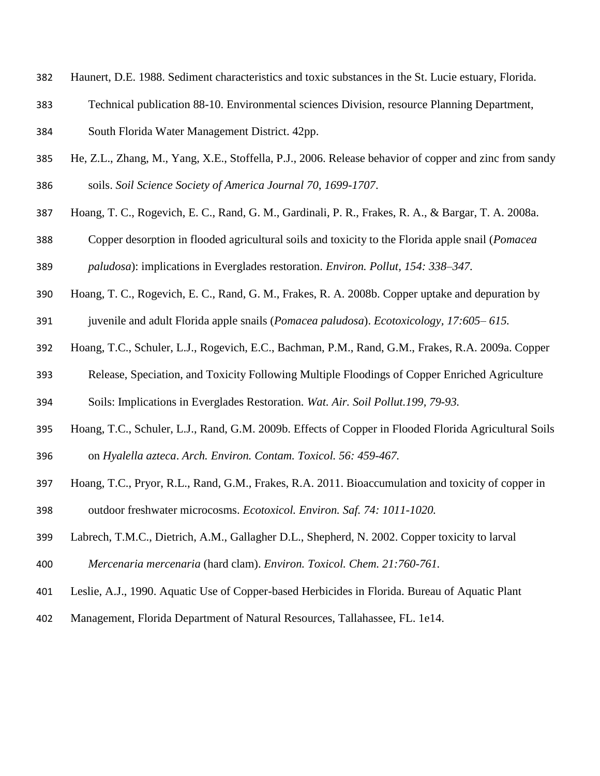- Haunert, D.E. 1988. Sediment characteristics and toxic substances in the St. Lucie estuary, Florida.
- Technical publication 88-10. Environmental sciences Division, resource Planning Department,
- South Florida Water Management District. 42pp.
- He, Z.L., Zhang, M., Yang, X.E., Stoffella, P.J., 2006. Release behavior of copper and zinc from sandy soils. *Soil Science Society of America Journal 70, 1699-1707*.
- Hoang, T. C., Rogevich, E. C., Rand, G. M., Gardinali, P. R., Frakes, R. A., & Bargar, T. A. 2008a.
- Copper desorption in flooded agricultural soils and toxicity to the Florida apple snail (*Pomacea paludosa*): implications in Everglades restoration. *Environ. Pollut, 154: 338–347.*
- Hoang, T. C., Rogevich, E. C., Rand, G. M., Frakes, R. A. 2008b. Copper uptake and depuration by
- juvenile and adult Florida apple snails (*Pomacea paludosa*). *Ecotoxicology, 17:605– 615.*
- Hoang, T.C., Schuler, L.J., Rogevich, E.C., Bachman, P.M., Rand, G.M., Frakes, R.A. 2009a. Copper
- Release, Speciation, and Toxicity Following Multiple Floodings of Copper Enriched Agriculture
- Soils: Implications in Everglades Restoration. *Wat. Air. Soil Pollut.199, 79-93.*
- Hoang, T.C., Schuler, L.J., Rand, G.M. 2009b. Effects of Copper in Flooded Florida Agricultural Soils on *Hyalella azteca*. *Arch. Environ. Contam. Toxicol. 56: 459-467.*
- Hoang, T.C., Pryor, R.L., Rand, G.M., Frakes, R.A. 2011. Bioaccumulation and toxicity of copper in outdoor freshwater microcosms. *Ecotoxicol. Environ. Saf. 74: 1011-1020.*
- Labrech, T.M.C., Dietrich, A.M., Gallagher D.L., Shepherd, N. 2002. Copper toxicity to larval
- *Mercenaria mercenaria* (hard clam). *Environ. Toxicol. Chem. 21:760-761.*
- Leslie, A.J., 1990. Aquatic Use of Copper-based Herbicides in Florida. Bureau of Aquatic Plant
- Management, Florida Department of Natural Resources, Tallahassee, FL. 1e14.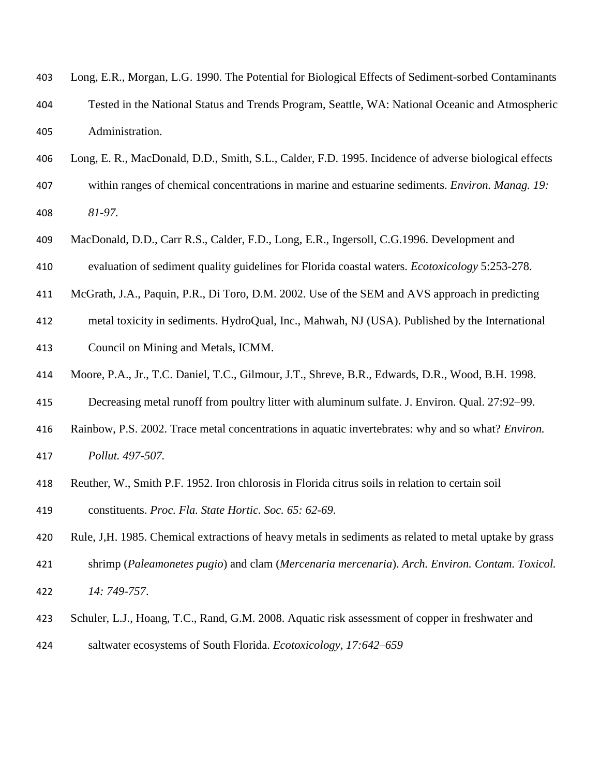| 403 | Long, E.R., Morgan, L.G. 1990. The Potential for Biological Effects of Sediment-sorbed Contaminants    |
|-----|--------------------------------------------------------------------------------------------------------|
| 404 | Tested in the National Status and Trends Program, Seattle, WA: National Oceanic and Atmospheric        |
| 405 | Administration.                                                                                        |
| 406 | Long, E. R., MacDonald, D.D., Smith, S.L., Calder, F.D. 1995. Incidence of adverse biological effects  |
| 407 | within ranges of chemical concentrations in marine and estuarine sediments. Environ. Manag. 19:        |
| 408 | 81-97.                                                                                                 |
| 409 | MacDonald, D.D., Carr R.S., Calder, F.D., Long, E.R., Ingersoll, C.G.1996. Development and             |
| 410 | evaluation of sediment quality guidelines for Florida coastal waters. Ecotoxicology 5:253-278.         |
| 411 | McGrath, J.A., Paquin, P.R., Di Toro, D.M. 2002. Use of the SEM and AVS approach in predicting         |
| 412 | metal toxicity in sediments. HydroQual, Inc., Mahwah, NJ (USA). Published by the International         |
| 413 | Council on Mining and Metals, ICMM.                                                                    |
| 414 | Moore, P.A., Jr., T.C. Daniel, T.C., Gilmour, J.T., Shreve, B.R., Edwards, D.R., Wood, B.H. 1998.      |
| 415 | Decreasing metal runoff from poultry litter with aluminum sulfate. J. Environ. Qual. 27:92-99.         |
| 416 | Rainbow, P.S. 2002. Trace metal concentrations in aquatic invertebrates: why and so what? Environ.     |
| 417 | Pollut. 497-507.                                                                                       |
| 418 | Reuther, W., Smith P.F. 1952. Iron chlorosis in Florida citrus soils in relation to certain soil       |
| 419 | constituents. Proc. Fla. State Hortic. Soc. 65: 62-69.                                                 |
| 420 | Rule, J.H. 1985. Chemical extractions of heavy metals in sediments as related to metal uptake by grass |
| 421 | shrimp (Paleamonetes pugio) and clam (Mercenaria mercenaria). Arch. Environ. Contam. Toxicol.          |
| 422 | 14: 749-757.                                                                                           |
| 423 | Schuler, L.J., Hoang, T.C., Rand, G.M. 2008. Aquatic risk assessment of copper in freshwater and       |
| 424 | saltwater ecosystems of South Florida. Ecotoxicology, 17:642-659                                       |
|     |                                                                                                        |
|     |                                                                                                        |